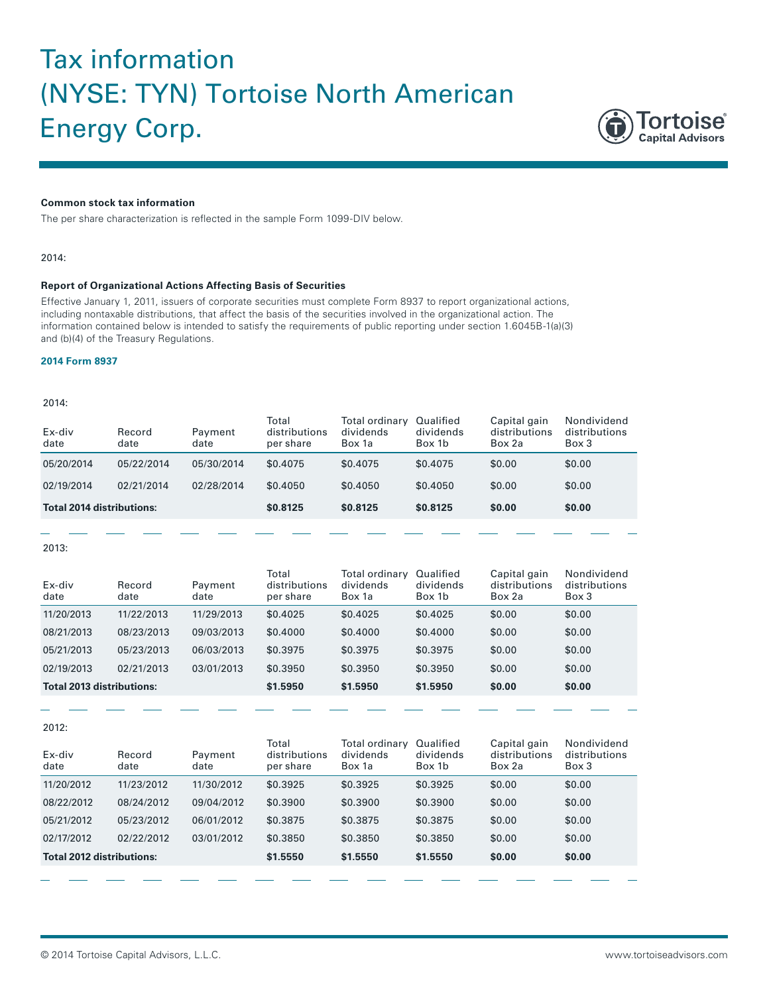# Tax information (NYSE: TYN) Tortoise North American Energy Corp.



## **Common stock tax information**

The per share characterization is reflected in the sample Form 1099-DIV below.

## 2014:

## **Report of Organizational Actions Affecting Basis of Securities**

Effective January 1, 2011, issuers of corporate securities must complete Form 8937 to report organizational actions, including nontaxable distributions, that affect the basis of the securities involved in the organizational action. The information contained below is intended to satisfy the requirements of public reporting under section 1.6045B-1(a)(3) and (b)(4) of the Treasury Regulations.

## **[2014 Form 8937](http://www.tortoiseadvisors.com/pdf/historical/2014_TYN_8937.pdf)**

#### 2014:

| Ex-div<br>date                   | Record<br>date | Payment<br>date | Total<br>distributions<br>per share | Total ordinary<br>dividends<br>Box 1a | Qualified<br>dividends<br>Box 1b | Capital gain<br>distributions<br>Box 2a | Nondividend<br>distributions<br>Box 3 |
|----------------------------------|----------------|-----------------|-------------------------------------|---------------------------------------|----------------------------------|-----------------------------------------|---------------------------------------|
| 05/20/2014                       | 05/22/2014     | 05/30/2014      | \$0.4075                            | \$0,4075                              | \$0.4075                         | \$0.00                                  | \$0.00                                |
| 02/19/2014                       | 02/21/2014     | 02/28/2014      | \$0.4050                            | \$0,4050                              | \$0,4050                         | \$0.00                                  | \$0.00                                |
| <b>Total 2014 distributions:</b> |                | \$0.8125        | \$0.8125                            | \$0.8125                              | \$0.00                           | \$0.00                                  |                                       |
|                                  |                |                 |                                     |                                       |                                  |                                         |                                       |

2013:

| Ex-div<br>date                   | Record<br>date | Payment<br>date | Total<br>distributions<br>per share | Total ordinary<br>dividends<br>Box 1a | Qualified<br>dividends<br>Box 1b | Capital gain<br>distributions<br>Box 2a | Nondividend<br>distributions<br>Box 3 |
|----------------------------------|----------------|-----------------|-------------------------------------|---------------------------------------|----------------------------------|-----------------------------------------|---------------------------------------|
| 11/20/2013                       | 11/22/2013     | 11/29/2013      | \$0.4025                            | \$0,4025                              | \$0.4025                         | \$0.00                                  | \$0.00                                |
| 08/21/2013                       | 08/23/2013     | 09/03/2013      | \$0,4000                            | \$0,4000                              | \$0,4000                         | \$0.00                                  | \$0.00                                |
| 05/21/2013                       | 05/23/2013     | 06/03/2013      | \$0,3975                            | \$0.3975                              | \$0.3975                         | \$0.00                                  | \$0.00                                |
| 02/19/2013                       | 02/21/2013     | 03/01/2013      | \$0.3950                            | \$0.3950                              | \$0.3950                         | \$0.00                                  | \$0.00                                |
| <b>Total 2013 distributions:</b> |                | \$1.5950        | \$1,5950                            | \$1.5950                              | \$0.00                           | \$0.00                                  |                                       |

2012:

| Ex-div<br>date                   | Record<br>date | Payment<br>date | Total<br>distributions<br>per share | Total ordinary<br>dividends<br>Box 1a | Qualified<br>dividends<br>Box 1b | Capital gain<br>distributions<br>Box 2a | Nondividend<br>distributions<br>Box 3 |
|----------------------------------|----------------|-----------------|-------------------------------------|---------------------------------------|----------------------------------|-----------------------------------------|---------------------------------------|
| 11/20/2012                       | 11/23/2012     | 11/30/2012      | \$0.3925                            | \$0.3925                              | \$0.3925                         | \$0.00                                  | \$0.00                                |
| 08/22/2012                       | 08/24/2012     | 09/04/2012      | \$0.3900                            | \$0.3900                              | \$0.3900                         | \$0.00                                  | \$0.00                                |
| 05/21/2012                       | 05/23/2012     | 06/01/2012      | \$0.3875                            | \$0.3875                              | \$0,3875                         | \$0.00                                  | \$0.00                                |
| 02/17/2012                       | 02/22/2012     | 03/01/2012      | \$0.3850                            | \$0.3850                              | \$0,3850                         | \$0.00                                  | \$0.00                                |
| <b>Total 2012 distributions:</b> |                | \$1.5550        | \$1,5550                            | \$1,5550                              | \$0.00                           | \$0.00                                  |                                       |
|                                  |                |                 |                                     |                                       |                                  |                                         |                                       |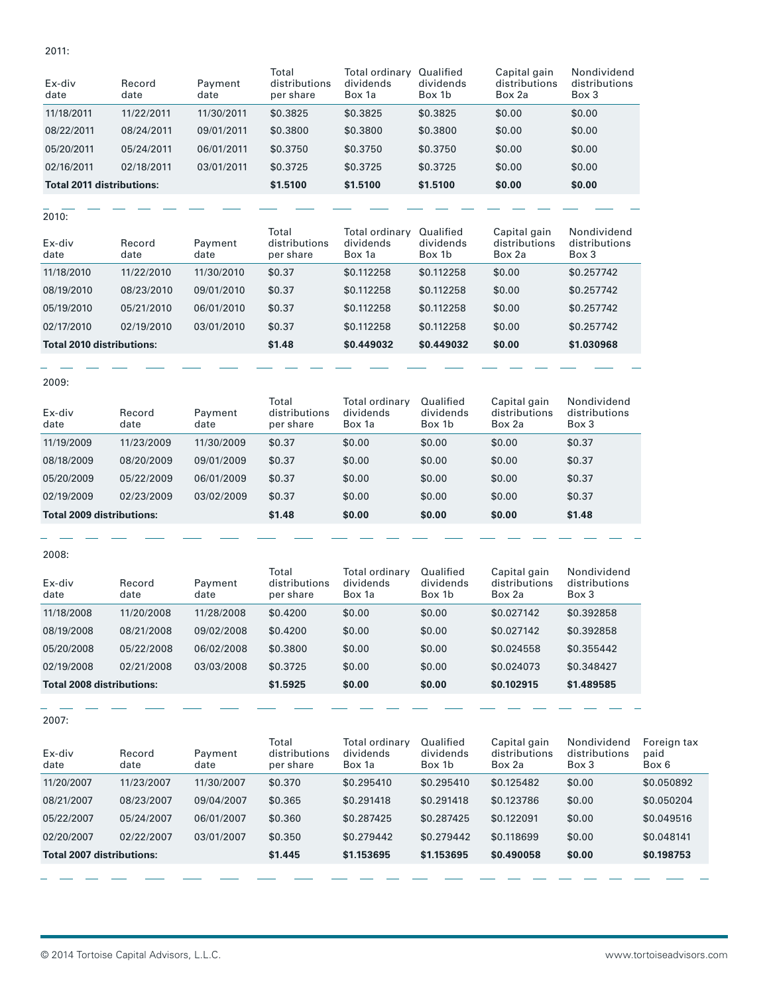2011:

| Ex-div<br>date                   | Record<br>date | Payment<br>date | Total<br>distributions<br>per share | Total ordinary<br>dividends<br>Box 1a | Qualified<br>dividends<br>Box 1b | Capital gain<br>distributions<br>Box 2a | Nondividend<br>distributions<br>Box 3 |
|----------------------------------|----------------|-----------------|-------------------------------------|---------------------------------------|----------------------------------|-----------------------------------------|---------------------------------------|
| 11/18/2011                       | 11/22/2011     | 11/30/2011      | \$0.3825                            | \$0.3825                              | \$0.3825                         | \$0.00                                  | \$0.00                                |
| 08/22/2011                       | 08/24/2011     | 09/01/2011      | \$0,3800                            | \$0.3800                              | \$0.3800                         | \$0.00                                  | \$0.00                                |
| 05/20/2011                       | 05/24/2011     | 06/01/2011      | \$0.3750                            | \$0,3750                              | \$0.3750                         | \$0.00                                  | \$0.00                                |
| 02/16/2011                       | 02/18/2011     | 03/01/2011      | \$0.3725                            | \$0.3725                              | \$0.3725                         | \$0.00                                  | \$0.00                                |
| <b>Total 2011 distributions:</b> |                | \$1.5100        | \$1.5100                            | \$1.5100                              | \$0.00                           | \$0.00                                  |                                       |

 $2010:$ 

| Ex-div<br>date                   | Record<br>date | Payment<br>date | Total<br>distributions<br>per share | Total ordinary<br>dividends<br>Box 1a | Qualified<br>dividends<br>Box 1b | Capital gain<br>distributions<br>Box 2a | Nondividend<br>distributions<br>Box 3 |
|----------------------------------|----------------|-----------------|-------------------------------------|---------------------------------------|----------------------------------|-----------------------------------------|---------------------------------------|
| 11/18/2010                       | 11/22/2010     | 11/30/2010      | \$0.37                              | \$0.112258                            | \$0.112258                       | \$0.00                                  | \$0.257742                            |
| 08/19/2010                       | 08/23/2010     | 09/01/2010      | \$0.37                              | \$0.112258                            | \$0.112258                       | \$0.00                                  | \$0.257742                            |
| 05/19/2010                       | 05/21/2010     | 06/01/2010      | \$0.37                              | \$0.112258                            | \$0.112258                       | \$0.00                                  | \$0.257742                            |
| 02/17/2010                       | 02/19/2010     | 03/01/2010      | \$0.37                              | \$0.112258                            | \$0.112258                       | \$0.00                                  | \$0.257742                            |
| <b>Total 2010 distributions:</b> |                | \$1.48          | \$0.449032                          | \$0.449032                            | \$0.00                           | \$1.030968                              |                                       |

2009:

| Ex-div<br>date                   | Record<br>date | Payment<br>date | Total<br>distributions<br>per share | Total ordinary<br>dividends<br>Box 1a | Qualified<br>dividends<br>Box 1b | Capital gain<br>distributions<br>Box 2a | Nondividend<br>distributions<br>Box 3 |
|----------------------------------|----------------|-----------------|-------------------------------------|---------------------------------------|----------------------------------|-----------------------------------------|---------------------------------------|
| 11/19/2009                       | 11/23/2009     | 11/30/2009      | \$0.37                              | \$0.00                                | \$0.00                           | \$0.00                                  | \$0.37                                |
| 08/18/2009                       | 08/20/2009     | 09/01/2009      | \$0.37                              | \$0.00                                | \$0.00                           | \$0.00                                  | \$0.37                                |
| 05/20/2009                       | 05/22/2009     | 06/01/2009      | \$0.37                              | \$0.00                                | \$0.00                           | \$0.00                                  | \$0.37                                |
| 02/19/2009                       | 02/23/2009     | 03/02/2009      | \$0.37                              | \$0.00                                | \$0.00                           | \$0.00                                  | \$0.37                                |
| <b>Total 2009 distributions:</b> |                | \$1.48          | \$0.00                              | \$0.00                                | \$0.00                           | \$1.48                                  |                                       |

2008:

| Ex-div<br>date                   | Record<br>date | Payment<br>date | Total<br>distributions<br>per share | Total ordinary<br>dividends<br>Box 1a | Qualified<br>dividends<br>Box 1b | Capital gain<br>distributions<br>Box 2a | Nondividend<br>distributions<br>Box 3 |
|----------------------------------|----------------|-----------------|-------------------------------------|---------------------------------------|----------------------------------|-----------------------------------------|---------------------------------------|
| 11/18/2008                       | 11/20/2008     | 11/28/2008      | \$0,4200                            | \$0.00                                | \$0.00                           | \$0.027142                              | \$0.392858                            |
| 08/19/2008                       | 08/21/2008     | 09/02/2008      | \$0,4200                            | \$0.00                                | \$0.00                           | \$0.027142                              | \$0.392858                            |
| 05/20/2008                       | 05/22/2008     | 06/02/2008      | \$0.3800                            | \$0.00                                | \$0.00                           | \$0.024558                              | \$0.355442                            |
| 02/19/2008                       | 02/21/2008     | 03/03/2008      | \$0.3725                            | \$0.00                                | \$0.00                           | \$0.024073                              | \$0.348427                            |
| <b>Total 2008 distributions:</b> |                | \$1.5925        | \$0.00                              | \$0.00                                | \$0.102915                       | \$1,489585                              |                                       |

2007:

| Ex-div<br>date                   | Record<br>date | Payment<br>date | Total<br>distributions<br>per share | Total ordinary<br>dividends<br>Box 1a | Qualified<br>dividends<br>Box 1b | Capital gain<br>distributions<br>Box 2a | Nondividend<br>distributions<br>Box 3 | Foreign tax<br>paid<br>Box 6 |
|----------------------------------|----------------|-----------------|-------------------------------------|---------------------------------------|----------------------------------|-----------------------------------------|---------------------------------------|------------------------------|
| 11/20/2007                       | 11/23/2007     | 11/30/2007      | \$0,370                             | \$0.295410                            | \$0.295410                       | \$0.125482                              | \$0.00                                | \$0.050892                   |
| 08/21/2007                       | 08/23/2007     | 09/04/2007      | \$0.365                             | \$0.291418                            | \$0.291418                       | \$0.123786                              | \$0.00                                | \$0.050204                   |
| 05/22/2007                       | 05/24/2007     | 06/01/2007      | \$0.360                             | \$0.287425                            | \$0.287425                       | \$0.122091                              | \$0.00                                | \$0.049516                   |
| 02/20/2007                       | 02/22/2007     | 03/01/2007      | \$0.350                             | \$0.279442                            | \$0.279442                       | \$0.118699                              | \$0.00                                | \$0.048141                   |
| <b>Total 2007 distributions:</b> |                | \$1.445         | \$1.153695                          | \$1.153695                            | \$0.490058                       | \$0.00                                  | \$0.198753                            |                              |
|                                  |                |                 |                                     |                                       |                                  |                                         |                                       |                              |